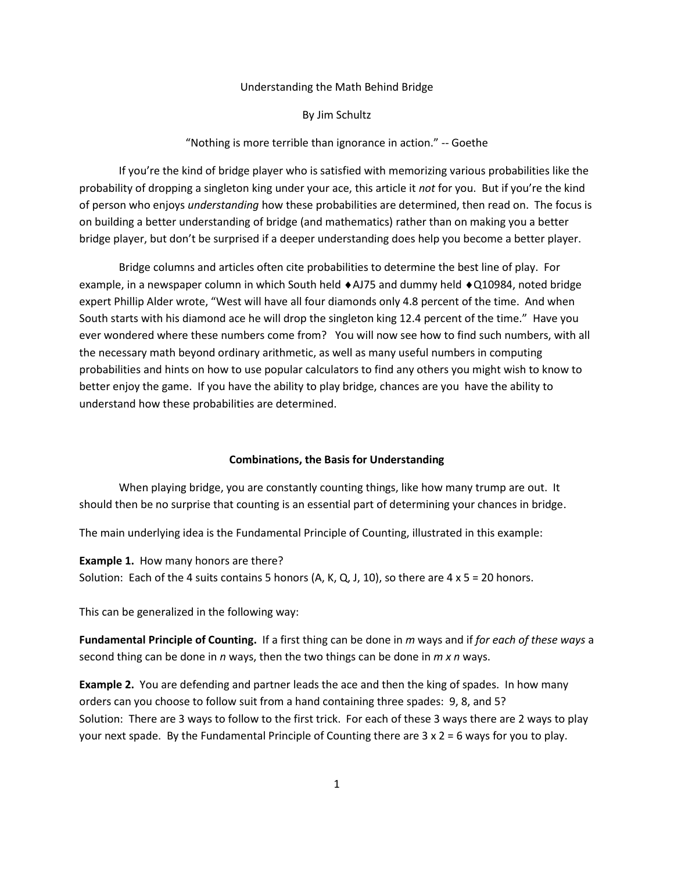#### Understanding the Math Behind Bridge

By Jim Schultz

"Nothing is more terrible than ignorance in action." -- Goethe

If you're the kind of bridge player who is satisfied with memorizing various probabilities like the probability of dropping a singleton king under your ace, this article it *not* for you. But if you're the kind of person who enjoys *understanding* how these probabilities are determined, then read on. The focus is on building a better understanding of bridge (and mathematics) rather than on making you a better bridge player, but don't be surprised if a deeper understanding does help you become a better player.

Bridge columns and articles often cite probabilities to determine the best line of play. For example, in a newspaper column in which South held  $\triangle$ AJ75 and dummy held  $\triangle$ Q10984, noted bridge expert Phillip Alder wrote, "West will have all four diamonds only 4.8 percent of the time. And when South starts with his diamond ace he will drop the singleton king 12.4 percent of the time." Have you ever wondered where these numbers come from? You will now see how to find such numbers, with all the necessary math beyond ordinary arithmetic, as well as many useful numbers in computing probabilities and hints on how to use popular calculators to find any others you might wish to know to better enjoy the game. If you have the ability to play bridge, chances are you have the ability to understand how these probabilities are determined.

## **Combinations, the Basis for Understanding**

When playing bridge, you are constantly counting things, like how many trump are out. It should then be no surprise that counting is an essential part of determining your chances in bridge.

The main underlying idea is the Fundamental Principle of Counting, illustrated in this example:

**Example 1.** How many honors are there? Solution: Each of the 4 suits contains 5 honors (A, K, Q, J, 10), so there are  $4 \times 5 = 20$  honors.

This can be generalized in the following way:

**Fundamental Principle of Counting.** If a first thing can be done in *m* ways and if *for each of these ways* a second thing can be done in *n* ways, then the two things can be done in *m x n* ways.

**Example 2.** You are defending and partner leads the ace and then the king of spades. In how many orders can you choose to follow suit from a hand containing three spades: 9, 8, and 5? Solution: There are 3 ways to follow to the first trick. For each of these 3 ways there are 2 ways to play your next spade. By the Fundamental Principle of Counting there are 3 x 2 = 6 ways for you to play.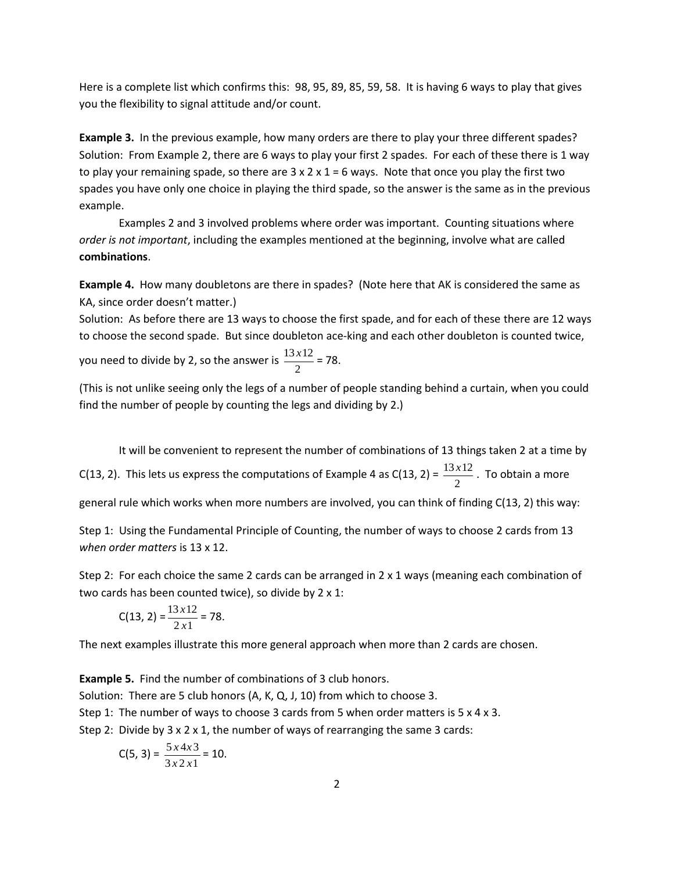Here is a complete list which confirms this: 98, 95, 89, 85, 59, 58. It is having 6 ways to play that gives you the flexibility to signal attitude and/or count.

**Example 3.** In the previous example, how many orders are there to play your three different spades? Solution: From Example 2, there are 6 ways to play your first 2 spades. For each of these there is 1 way to play your remaining spade, so there are  $3 \times 2 \times 1 = 6$  ways. Note that once you play the first two spades you have only one choice in playing the third spade, so the answer is the same as in the previous example.

Examples 2 and 3 involved problems where order was important. Counting situations where *order is not important*, including the examples mentioned at the beginning, involve what are called **combinations**.

**Example 4.** How many doubletons are there in spades? (Note here that AK is considered the same as KA, since order doesn't matter.)

Solution: As before there are 13 ways to choose the first spade, and for each of these there are 12 ways to choose the second spade. But since doubleton ace-king and each other doubleton is counted twice, you need to divide by 2, so the answer is  $\frac{13\lambda}{2}$  $\frac{13 x 12}{2} = 78.$ 

(This is not unlike seeing only the legs of a number of people standing behind a curtain, when you could find the number of people by counting the legs and dividing by 2.)

It will be convenient to represent the number of combinations of 13 things taken 2 at a time by C(13, 2). This lets us express the computations of Example 4 as C(13, 2) =  $\frac{13}{2}$  $\frac{13x12}{2}$ . To obtain a more general rule which works when more numbers are involved, you can think of finding C(13, 2) this way:

Step 1: Using the Fundamental Principle of Counting, the number of ways to choose 2 cards from 13 *when order matters* is 13 x 12.

Step 2: For each choice the same 2 cards can be arranged in  $2 \times 1$  ways (meaning each combination of two cards has been counted twice), so divide by 2 x 1:

$$
C(13, 2) = \frac{13 \times 12}{2 \times 1} = 78.
$$

The next examples illustrate this more general approach when more than 2 cards are chosen.

**Example 5.** Find the number of combinations of 3 club honors. Solution: There are 5 club honors (A, K, Q, J, 10) from which to choose 3. Step 1: The number of ways to choose 3 cards from 5 when order matters is 5 x 4 x 3. Step 2: Divide by  $3 \times 2 \times 1$ , the number of ways of rearranging the same 3 cards:

$$
C(5,3)=\frac{5\times4\times3}{3\times2\times1}=10.
$$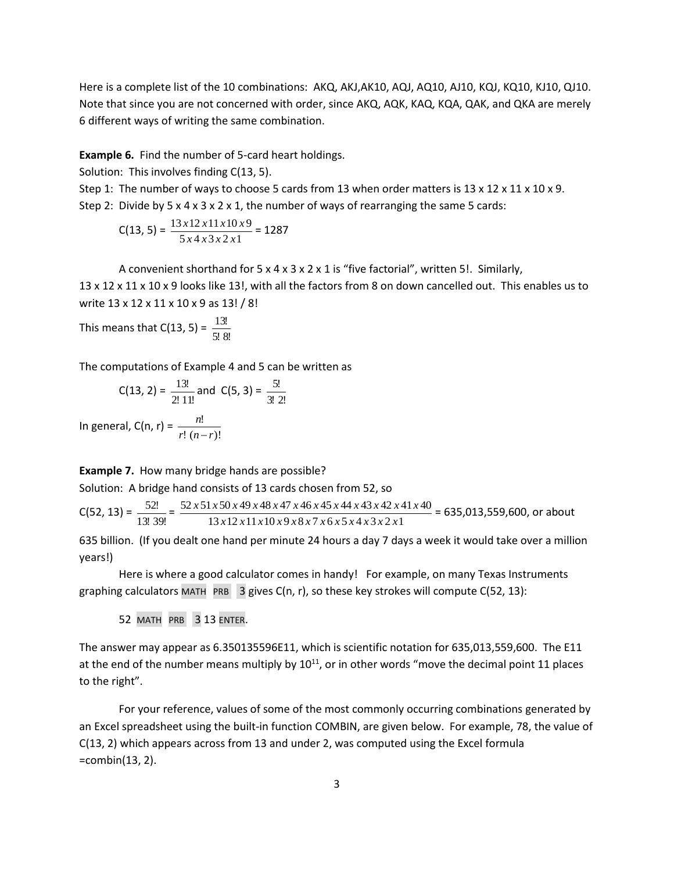Here is a complete list of the 10 combinations: AKQ, AKJ,AK10, AQJ, AQ10, AJ10, KQJ, KQ10, KJ10, QJ10. Note that since you are not concerned with order, since AKQ, AQK, KAQ, KQA, QAK, and QKA are merely 6 different ways of writing the same combination.

**Example 6.** Find the number of 5-card heart holdings.

Solution: This involves finding C(13, 5).

Step 1: The number of ways to choose 5 cards from 13 when order matters is 13 x 12 x 11 x 10 x 9.

Step 2: Divide by  $5 \times 4 \times 3 \times 2 \times 1$ , the number of ways of rearranging the same 5 cards:

$$
C(13, 5) = \frac{13x12x11x10x9}{5x4x3x2x1} = 1287
$$

A convenient shorthand for 5 x 4 x 3 x 2 x 1 is "five factorial", written 5!. Similarly, 13 x 12 x 11 x 10 x 9 looks like 13!, with all the factors from 8 on down cancelled out. This enables us to write 13 x 12 x 11 x 10 x 9 as 13! / 8!

This means that C(13, 5) =  $\frac{13!}{5!8!}$ 13!

The computations of Example 4 and 5 can be written as

C(13, 2) = 
$$
\frac{13!}{2! \ 11!}
$$
 and C(5, 3) =  $\frac{5!}{3! \ 2!}$ 

In general,  $C(n, r) = \frac{n!}{r!(n-r)!}$ !  $r!$   $(n-r)$ *n* −

# **Example 7.** How many bridge hands are possible?

Solution: A bridge hand consists of 13 cards chosen from 52, so

 $C(52, 13) = \frac{52.1}{13! \cdot 39!}$  $\frac{52!}{1!39!} = \frac{52 \times 51 \times 50 \times 49 \times 48 \times 47 \times 46 \times 45 \times 44 \times 43 \times 42 \times 4}{13 \times 12 \times 11 \times 10 \times 9 \times 8 \times 7 \times 6 \times 5 \times 4 \times 3 \times 2 \times 11}$ 52 x 51 x 50 x 49 x 48 x 47 x 46 x 45 x 44 x 43 x 42 x 41 x 40 *x x x x x x x x x x x x*  $\frac{x51 \times 50 \times 49 \times 48 \times 47 \times 46 \times 45 \times 44 \times 43 \times 42 \times 41 \times 40}{x^2 + 40 \times 42 \times 41 \times 40} = 635,013,559,600,$  or about

635 billion. (If you dealt one hand per minute 24 hours a day 7 days a week it would take over a million years!)

Here is where a good calculator comes in handy! For example, on many Texas Instruments graphing calculators MATH PRB  $\overline{3}$  gives C(n, r), so these key strokes will compute C(52, 13):

52 MATH PRB 3 13 ENTER.

The answer may appear as 6.350135596E11, which is scientific notation for 635,013,559,600. The E11 at the end of the number means multiply by  $10^{11}$ , or in other words "move the decimal point 11 places to the right".

For your reference, values of some of the most commonly occurring combinations generated by an Excel spreadsheet using the built-in function COMBIN, are given below. For example, 78, the value of C(13, 2) which appears across from 13 and under 2, was computed using the Excel formula =combin(13, 2).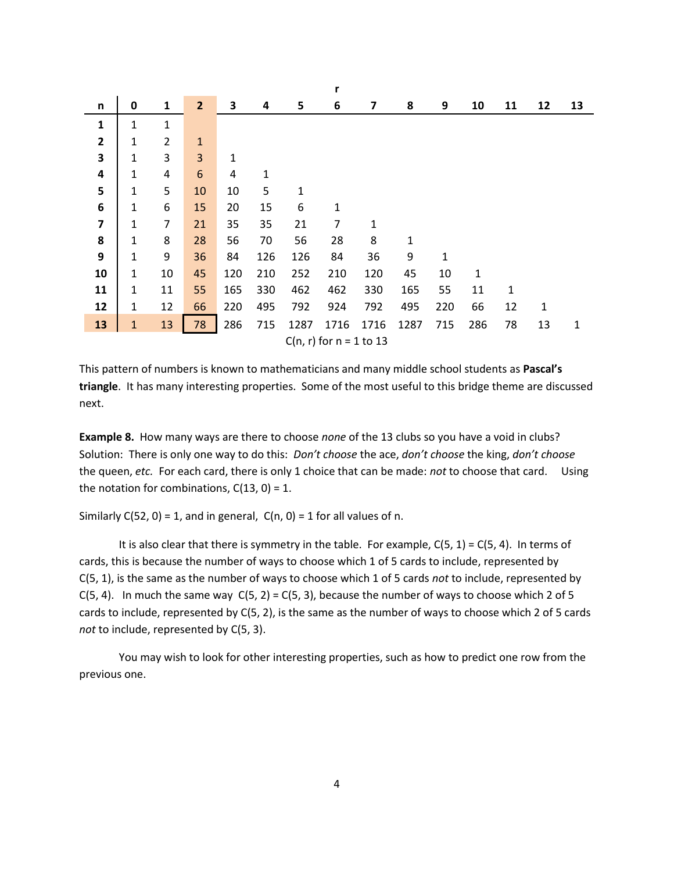|                         |              |                |                |     |     |      | r                           |      |      |     |     |              |    |    |
|-------------------------|--------------|----------------|----------------|-----|-----|------|-----------------------------|------|------|-----|-----|--------------|----|----|
| n                       | $\bf{0}$     | 1              | $\overline{2}$ | 3   | 4   | 5    | 6                           | 7    | 8    | 9   | 10  | 11           | 12 | 13 |
| ${\bf 1}$               | 1            | 1              |                |     |     |      |                             |      |      |     |     |              |    |    |
| $\overline{2}$          | 1            | $\overline{2}$ | $\mathbf{1}$   |     |     |      |                             |      |      |     |     |              |    |    |
| 3                       | 1            | 3              | 3              | 1   |     |      |                             |      |      |     |     |              |    |    |
| 4                       | 1            | 4              | 6              | 4   | 1   |      |                             |      |      |     |     |              |    |    |
| 5                       | 1            | 5              | 10             | 10  | 5   | 1    |                             |      |      |     |     |              |    |    |
| 6                       | 1            | 6              | 15             | 20  | 15  | 6    | 1                           |      |      |     |     |              |    |    |
| $\overline{\mathbf{z}}$ | 1            | $\overline{7}$ | 21             | 35  | 35  | 21   | 7                           | 1    |      |     |     |              |    |    |
| 8                       | 1            | 8              | 28             | 56  | 70  | 56   | 28                          | 8    | 1    |     |     |              |    |    |
| 9                       | $\mathbf 1$  | 9              | 36             | 84  | 126 | 126  | 84                          | 36   | 9    | 1   |     |              |    |    |
| 10                      | 1            | 10             | 45             | 120 | 210 | 252  | 210                         | 120  | 45   | 10  | 1   |              |    |    |
| 11                      | 1            | 11             | 55             | 165 | 330 | 462  | 462                         | 330  | 165  | 55  | 11  | $\mathbf{1}$ |    |    |
| 12                      | 1            | 12             | 66             | 220 | 495 | 792  | 924                         | 792  | 495  | 220 | 66  | 12           | 1  |    |
| 13                      | $\mathbf{1}$ | 13             | 78             | 286 | 715 | 1287 | 1716                        | 1716 | 1287 | 715 | 286 | 78           | 13 | 1  |
|                         |              |                |                |     |     |      | $C(n, r)$ for $n = 1$ to 13 |      |      |     |     |              |    |    |

This pattern of numbers is known to mathematicians and many middle school students as **Pascal's triangle**. It has many interesting properties. Some of the most useful to this bridge theme are discussed next.

**Example 8.** How many ways are there to choose *none* of the 13 clubs so you have a void in clubs? Solution: There is only one way to do this: *Don't choose* the ace, *don't choose* the king, *don't choose* the queen, *etc.* For each card, there is only 1 choice that can be made: *not* to choose that card. Using the notation for combinations,  $C(13, 0) = 1$ .

Similarly  $C(52, 0) = 1$ , and in general,  $C(n, 0) = 1$  for all values of n.

It is also clear that there is symmetry in the table. For example,  $C(5, 1) = C(5, 4)$ . In terms of cards, this is because the number of ways to choose which 1 of 5 cards to include, represented by C(5, 1), is the same as the number of ways to choose which 1 of 5 cards *not* to include, represented by C(5, 4). In much the same way  $C(5, 2) = C(5, 3)$ , because the number of ways to choose which 2 of 5 cards to include, represented by C(5, 2), is the same as the number of ways to choose which 2 of 5 cards *not* to include, represented by C(5, 3).

You may wish to look for other interesting properties, such as how to predict one row from the previous one.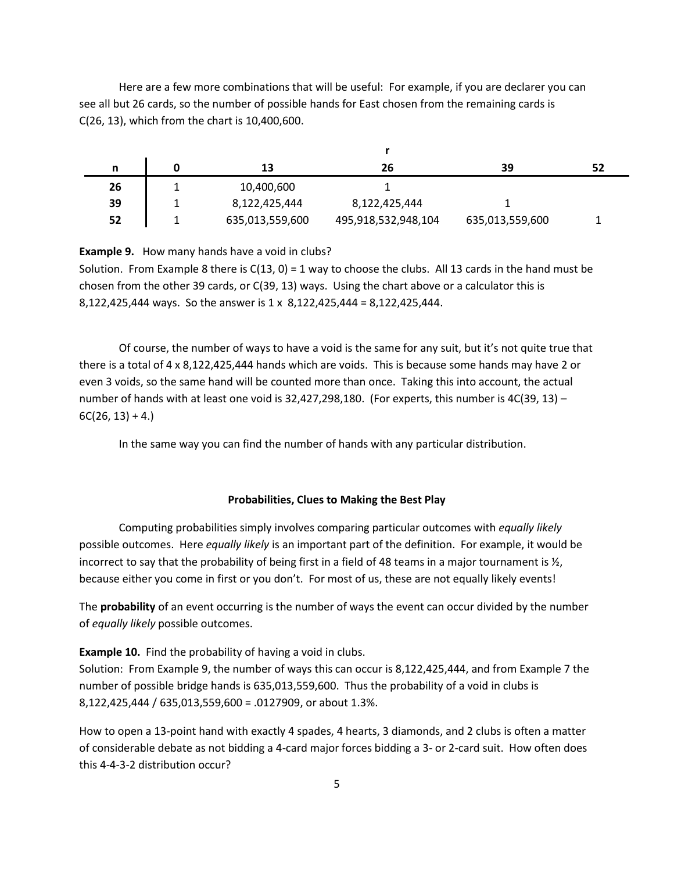Here are a few more combinations that will be useful: For example, if you are declarer you can see all but 26 cards, so the number of possible hands for East chosen from the remaining cards is C(26, 13), which from the chart is 10,400,600.

| n  | 13              | 26                  | 39              | 52 |
|----|-----------------|---------------------|-----------------|----|
| 26 | 10,400,600      |                     |                 |    |
| 39 | 8,122,425,444   | 8,122,425,444       |                 |    |
| 52 | 635,013,559,600 | 495,918,532,948,104 | 635,013,559,600 |    |

**Example 9.** How many hands have a void in clubs?

Solution. From Example 8 there is  $C(13, 0) = 1$  way to choose the clubs. All 13 cards in the hand must be chosen from the other 39 cards, or C(39, 13) ways. Using the chart above or a calculator this is 8,122,425,444 ways. So the answer is 1 x 8,122,425,444 = 8,122,425,444.

Of course, the number of ways to have a void is the same for any suit, but it's not quite true that there is a total of 4 x 8,122,425,444 hands which are voids. This is because some hands may have 2 or even 3 voids, so the same hand will be counted more than once. Taking this into account, the actual number of hands with at least one void is 32,427,298,180. (For experts, this number is 4C(39, 13) - $6C(26, 13) + 4.$ 

In the same way you can find the number of hands with any particular distribution.

## **Probabilities, Clues to Making the Best Play**

Computing probabilities simply involves comparing particular outcomes with *equally likely* possible outcomes. Here *equally likely* is an important part of the definition. For example, it would be incorrect to say that the probability of being first in a field of 48 teams in a major tournament is  $\frac{1}{2}$ , because either you come in first or you don't. For most of us, these are not equally likely events!

The **probability** of an event occurring is the number of ways the event can occur divided by the number of *equally likely* possible outcomes.

### **Example 10.** Find the probability of having a void in clubs.

Solution: From Example 9, the number of ways this can occur is 8,122,425,444, and from Example 7 the number of possible bridge hands is 635,013,559,600. Thus the probability of a void in clubs is 8,122,425,444 / 635,013,559,600 = .0127909, or about 1.3%.

How to open a 13-point hand with exactly 4 spades, 4 hearts, 3 diamonds, and 2 clubs is often a matter of considerable debate as not bidding a 4-card major forces bidding a 3- or 2-card suit. How often does this 4-4-3-2 distribution occur?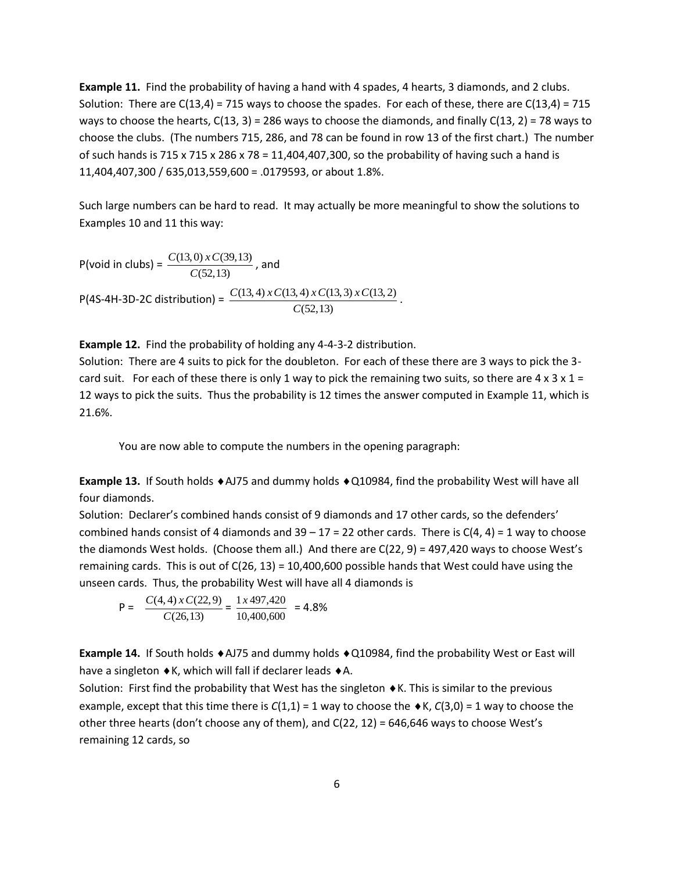**Example 11.** Find the probability of having a hand with 4 spades, 4 hearts, 3 diamonds, and 2 clubs. Solution: There are  $C(13,4) = 715$  ways to choose the spades. For each of these, there are  $C(13,4) = 715$ ways to choose the hearts,  $C(13, 3) = 286$  ways to choose the diamonds, and finally  $C(13, 2) = 78$  ways to choose the clubs. (The numbers 715, 286, and 78 can be found in row 13 of the first chart.) The number of such hands is 715 x 715 x 286 x 78 = 11,404,407,300, so the probability of having such a hand is 11,404,407,300 / 635,013,559,600 = .0179593, or about 1.8%.

Such large numbers can be hard to read. It may actually be more meaningful to show the solutions to Examples 10 and 11 this way:

P(void in clubs) =  $\frac{C(13,6) \times C(3)}{C(52,13)}$  $(13, 0)$  x  $C(39,13)$ *C*  $\frac{C(13,0) \, x \, C(39,13)}{C(52,13)}$ , and P(4S-4H-3D-2C distribution) =  $\frac{C(13,4) \times C(13,4) \times C(12,4)}{C(52,13)}$  $(13, 4)$  x  $C(13, 4)$  x  $C(13, 3)$  x  $C(13, 2)$ *C*  $\frac{C(13,4) \times C(13,4) \times C(13,3) \times C(13,2)}{C(52,12)}$ .

**Example 12.** Find the probability of holding any 4-4-3-2 distribution.

Solution: There are 4 suits to pick for the doubleton. For each of these there are 3 ways to pick the 3 card suit. For each of these there is only 1 way to pick the remaining two suits, so there are  $4 \times 3 \times 1 =$ 12 ways to pick the suits. Thus the probability is 12 times the answer computed in Example 11, which is 21.6%.

You are now able to compute the numbers in the opening paragraph:

**Example 13.** If South holds ♦ AJ75 and dummy holds ♦ Q10984, find the probability West will have all four diamonds.

Solution: Declarer's combined hands consist of 9 diamonds and 17 other cards, so the defenders' combined hands consist of 4 diamonds and  $39 - 17 = 22$  other cards. There is  $C(4, 4) = 1$  way to choose the diamonds West holds. (Choose them all.) And there are C(22, 9) = 497,420 ways to choose West's remaining cards. This is out of  $C(26, 13) = 10,400,600$  possible hands that West could have using the unseen cards. Thus, the probability West will have all 4 diamonds is

$$
P = \frac{C(4,4) \times C(22,9)}{C(26,13)} = \frac{1 \times 497,420}{10,400,600} = 4.8\%
$$

**Example 14.** If South holds ◆AJ75 and dummy holds ◆Q10984, find the probability West or East will have a singleton  $\triangle$ K, which will fall if declarer leads  $\triangle$ A.

Solution: First find the probability that West has the singleton  $\bullet$  K. This is similar to the previous example, except that this time there is  $C(1,1) = 1$  way to choose the  $\bullet$ K,  $C(3,0) = 1$  way to choose the other three hearts (don't choose any of them), and C(22, 12) = 646,646 ways to choose West's remaining 12 cards, so